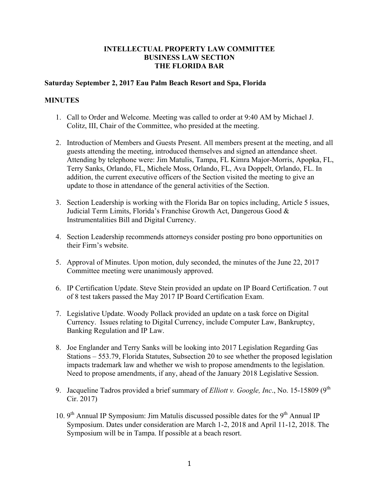## **INTELLECTUAL PROPERTY LAW COMMITTEE BUSINESS LAW SECTION THE FLORIDA BAR**

## **Saturday September 2, 2017 Eau Palm Beach Resort and Spa, Florida**

## **MINUTES**

- 1. Call to Order and Welcome. Meeting was called to order at 9:40 AM by Michael J. Colitz, III, Chair of the Committee, who presided at the meeting.
- 2. Introduction of Members and Guests Present. All members present at the meeting, and all guests attending the meeting, introduced themselves and signed an attendance sheet. Attending by telephone were: Jim Matulis, Tampa, FL Kimra Major-Morris, Apopka, FL, Terry Sanks, Orlando, FL, Michele Moss, Orlando, FL, Ava Doppelt, Orlando, FL. In addition, the current executive officers of the Section visited the meeting to give an update to those in attendance of the general activities of the Section.
- 3. Section Leadership is working with the Florida Bar on topics including, Article 5 issues, Judicial Term Limits, Florida's Franchise Growth Act, Dangerous Good & Instrumentalities Bill and Digital Currency.
- 4. Section Leadership recommends attorneys consider posting pro bono opportunities on their Firm's website.
- 5. Approval of Minutes. Upon motion, duly seconded, the minutes of the June 22, 2017 Committee meeting were unanimously approved.
- 6. IP Certification Update. Steve Stein provided an update on IP Board Certification. 7 out of 8 test takers passed the May 2017 IP Board Certification Exam.
- 7. Legislative Update. Woody Pollack provided an update on a task force on Digital Currency. Issues relating to Digital Currency, include Computer Law, Bankruptcy, Banking Regulation and IP Law.
- 8. Joe Englander and Terry Sanks will be looking into 2017 Legislation Regarding Gas Stations – 553.79, Florida Statutes, Subsection 20 to see whether the proposed legislation impacts trademark law and whether we wish to propose amendments to the legislation. Need to propose amendments, if any, ahead of the January 2018 Legislative Session.
- 9. Jacqueline Tadros provided a brief summary of *Elliott v. Google, Inc.*, No. 15-15809 (9<sup>th</sup> Cir. 2017)
- 10.  $9<sup>th</sup>$  Annual IP Symposium: Jim Matulis discussed possible dates for the  $9<sup>th</sup>$  Annual IP Symposium. Dates under consideration are March 1-2, 2018 and April 11-12, 2018. The Symposium will be in Tampa. If possible at a beach resort.